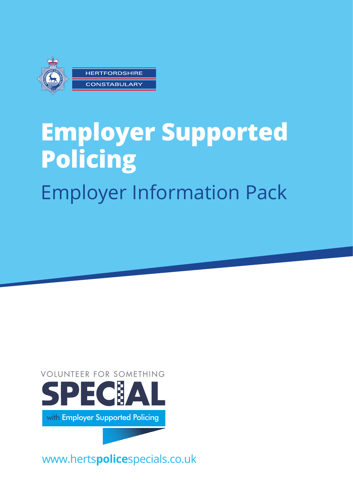

# **Employer Supported Policing** Employer Information Pack



www.herts**police**specials.co.uk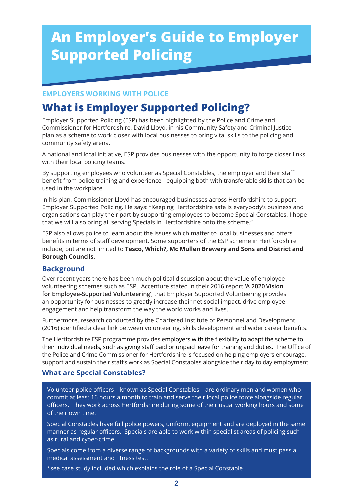## **An Employer's Guide to Employer Supported Policing**

#### **EMPLOYERS WORKING WITH POLICE**

## **What is Employer Supported Policing?**

Employer Supported Policing (ESP) has been highlighted by the Police and Crime and Commissioner for Hertfordshire, David Lloyd, in his Community Safety and Criminal Justice plan as a scheme to work closer with local businesses to bring vital skills to the policing and community safety arena.

A national and local initiative, ESP provides businesses with the opportunity to forge closer links with their local policing teams.

By supporting employees who volunteer as Special Constables, the employer and their staff benefit from police training and experience - equipping both with transferable skills that can be used in the workplace.

In his plan, Commissioner Lloyd has encouraged businesses across Hertfordshire to support Employer Supported Policing. He says: "Keeping Hertfordshire safe is everybody's business and organisations can play their part by supporting employees to become Special Constables. I hope that we will also bring all serving Specials in Hertfordshire onto the scheme."

ESP also allows police to learn about the issues which matter to local businesses and offers benefits in terms of staff development. Some supporters of the ESP scheme in Hertfordshire include, but are not limited to **Tesco, Which?, Mc Mullen Brewery and Sons and District and Borough Councils.**

#### **Background**

Over recent years there has been much political discussion about the value of employee volunteering schemes such as ESP. Accenture stated in their 2016 report **'A 2020 Vision for Employee-Supported Volunteering'**, that Employer Supported Volunteering provides an opportunity for businesses to greatly increase their net social impact, drive employee engagement and help transform the way the world works and lives.

Furthermore, research conducted by the Chartered Institute of Personnel and Development (2016) identified a clear link between volunteering, skills development and wider career benefits.

The Hertfordshire ESP programme provides employers with the flexibility to adapt the scheme to their individual needs, such as giving staff paid or unpaid leave for training and duties. The Office of the Police and Crime Commissioner for Hertfordshire is focused on helping employers encourage, support and sustain their staff's work as Special Constables alongside their day to day employment.

#### **What are Special Constables?**

Volunteer police officers – known as Special Constables – are ordinary men and women who commit at least 16 hours a month to train and serve their local police force alongside regular officers. They work across Hertfordshire during some of their usual working hours and some of their own time.

Special Constables have full police powers, uniform, equipment and are deployed in the same manner as regular officers. Specials are able to work within specialist areas of policing such as rural and cyber-crime.

Specials come from a diverse range of backgrounds with a variety of skills and must pass a medical assessment and fitness test.

\*see case study included which explains the role of a Special Constable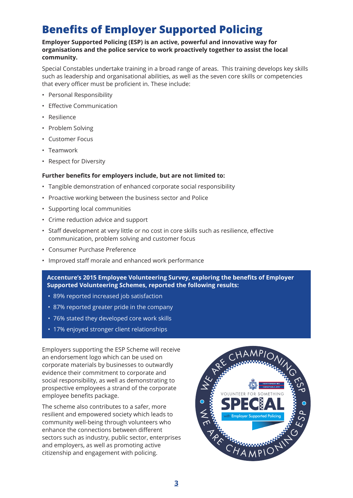## **Benefits of Employer Supported Policing**

#### **Employer Supported Policing (ESP) is an active, powerful and innovative way for organisations and the police service to work proactively together to assist the local community.**

Special Constables undertake training in a broad range of areas. This training develops key skills such as leadership and organisational abilities, as well as the seven core skills or competencies that every officer must be proficient in. These include:

- Personal Responsibility
- Effective Communication
- Resilience
- Problem Solving
- Customer Focus
- Teamwork
- Respect for Diversity

#### **Further benefits for employers include, but are not limited to:**

- Tangible demonstration of enhanced corporate social responsibility
- Proactive working between the business sector and Police
- Supporting local communities
- Crime reduction advice and support
- Staff development at very little or no cost in core skills such as resilience, effective communication, problem solving and customer focus
- Consumer Purchase Preference
- Improved staff morale and enhanced work performance

Accenture's 2015 Employee Volunteering Survey, exploring the benefits of Employer **Supported Volunteering Schemes, reported the following results:**

- 89% reported increased job satisfaction
- 87% reported greater pride in the company
- 76% stated they developed core work skills
- $\blacksquare$  17% enjoyed stronger client relationships

Employers supporting the ESP Scheme will receive an endorsement logo which can be used on corporate materials by businesses to outwardly evidence their commitment to corporate and social responsibility, as well as demonstrating to prospective employees a strand of the corporate employee benefits package.

The scheme also contributes to a safer, more resilient and empowered society which leads to community well-being through volunteers who enhance the connections between different sectors such as industry, public sector, enterprises and employers, as well as promoting active citizenship and engagement with policing.

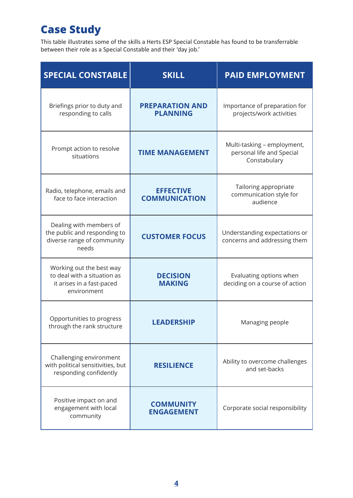## **Case Study**

This table illustrates some of the skills a Herts ESP Special Constable has found to be transferrable between their role as a Special Constable and their 'day job.'

| <b>SPECIAL CONSTABLE</b>                                                                            | <b>SKILL</b>                              | <b>PAID EMPLOYMENT</b>                                                   |
|-----------------------------------------------------------------------------------------------------|-------------------------------------------|--------------------------------------------------------------------------|
| Briefings prior to duty and<br>responding to calls                                                  | <b>PREPARATION AND</b><br><b>PLANNING</b> | Importance of preparation for<br>projects/work activities                |
| Prompt action to resolve<br>situations                                                              | <b>TIME MANAGEMENT</b>                    | Multi-tasking - employment,<br>personal life and Special<br>Constabulary |
| Radio, telephone, emails and<br>face to face interaction                                            | <b>EFFECTIVE</b><br><b>COMMUNICATION</b>  | Tailoring appropriate<br>communication style for<br>audience             |
| Dealing with members of<br>the public and responding to<br>diverse range of community<br>needs      | <b>CUSTOMER FOCUS</b>                     | Understanding expectations or<br>concerns and addressing them            |
| Working out the best way<br>to deal with a situation as<br>it arises in a fast-paced<br>environment | <b>DECISION</b><br><b>MAKING</b>          | Evaluating options when<br>deciding on a course of action                |
| Opportunities to progress<br>through the rank structure                                             | <b>LEADERSHIP</b>                         | Managing people                                                          |
| Challenging environment<br>with political sensitivities, but<br>responding confidently              | <b>RESILIENCE</b>                         | Ability to overcome challenges<br>and set-backs                          |
| Positive impact on and<br>engagement with local<br>community                                        | <b>COMMUNITY</b><br><b>ENGAGEMENT</b>     | Corporate social responsibility                                          |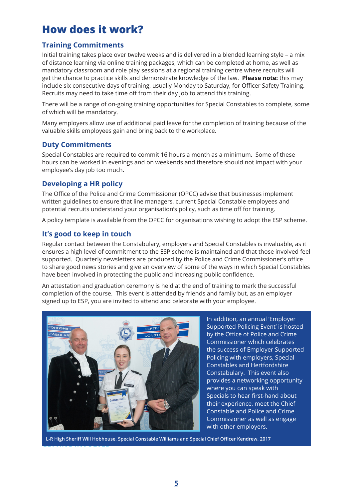## **How does it work?**

#### **Training Commitments**

Initial training takes place over twelve weeks and is delivered in a blended learning style – a mix of distance learning via online training packages, which can be completed at home, as well as mandatory classroom and role play sessions at a regional training centre where recruits will get the chance to practice skills and demonstrate knowledge of the law. **Please note:** this may include six consecutive days of training, usually Monday to Saturday, for Officer Safety Training. Recruits may need to take time off from their day job to attend this training.

There will be a range of on-going training opportunities for Special Constables to complete, some of which will be mandatory.

Many employers allow use of additional paid leave for the completion of training because of the valuable skills employees gain and bring back to the workplace.

#### **Duty Commitments**

Special Constables are required to commit 16 hours a month as a minimum. Some of these hours can be worked in evenings and on weekends and therefore should not impact with your employee's day job too much.

#### **Developing a HR policy**

The Office of the Police and Crime Commissioner (OPCC) advise that businesses implement written guidelines to ensure that line managers, current Special Constable employees and potential recruits understand your organisation's policy, such as time off for training.

A policy template is available from the OPCC for organisations wishing to adopt the ESP scheme.

#### **It's good to keep in touch**

Regular contact between the Constabulary, employers and Special Constables is invaluable, as it ensures a high level of commitment to the ESP scheme is maintained and that those involved feel supported. Quarterly newsletters are produced by the Police and Crime Commissioner's office to share good news stories and give an overview of some of the ways in which Special Constables have been involved in protecting the public and increasing public confidence.

An attestation and graduation ceremony is held at the end of training to mark the successful completion of the course. This event is attended by friends and family but, as an employer signed up to ESP, you are invited to attend and celebrate with your employee.



In addition, an annual 'Employer Supported Policing Event' is hosted by the Office of Police and Crime Commissioner which celebrates the success of Employer Supported Policing with employers, Special Constables and Hertfordshire Constabulary. This event also provides a networking opportunity where you can speak with Specials to hear first-hand about their experience, meet the Chief Constable and Police and Crime Commissioner as well as engage with other employers.

**GETTING** INVOLVED **L-R High Sheriff Will Hobhouse, Special Constable Williams and Special Chief Officer Kendrew, 2017**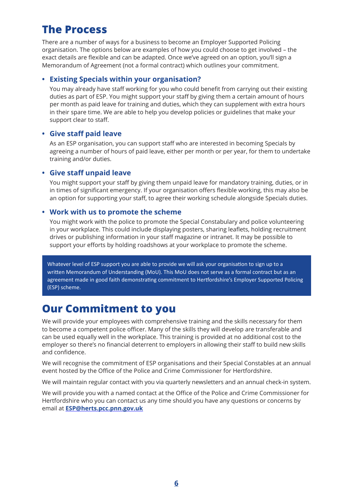## **The Process**

There are a number of ways for a business to become an Employer Supported Policing organisation. The options below are examples of how you could choose to get involved – the exact details are flexible and can be adapted. Once we've agreed on an option, you'll sign a Memorandum of Agreement (not a formal contract) which outlines your commitment.

#### **• Existing Specials within your organisation?**

You may already have staff working for you who could benefit from carrying out their existing duties as part of ESP. You might support your staff by giving them a certain amount of hours per month as paid leave for training and duties, which they can supplement with extra hours in their spare time. We are able to help you develop policies or guidelines that make your support clear to staff.

#### **• Give staff paid leave**

As an ESP organisation, you can support staff who are interested in becoming Specials by agreeing a number of hours of paid leave, either per month or per year, for them to undertake training and/or duties.

#### **• Give staff unpaid leave**

You might support your staff by giving them unpaid leave for mandatory training, duties, or in in times of significant emergency. If your organisation offers flexible working, this may also be an option for supporting your staff, to agree their working schedule alongside Specials duties.

#### **• Work with us to promote the scheme**

You might work with the police to promote the Special Constabulary and police volunteering in your workplace. This could include displaying posters, sharing leaflets, holding recruitment drives or publishing information in your staff magazine or intranet. It may be possible to support your efforts by holding roadshows at your workplace to promote the scheme.

Whatever level of ESP support you are able to provide we will ask your organisation to sign up to a written Memorandum of Understanding (MoU). This MoU does not serve as a formal contract but as an agreement made in good faith demonstrating commitment to Hertfordshire's Employer Supported Policing (ESP) scheme.

## **Our Commitment to you**

We will provide your employees with comprehensive training and the skills necessary for them to become a competent police officer. Many of the skills they will develop are transferable and can be used equally well in the workplace. This training is provided at no additional cost to the employer so there's no financial deterrent to employers in allowing their staff to build new skills and confidence.

We will recognise the commitment of ESP organisations and their Special Constables at an annual event hosted by the Office of the Police and Crime Commissioner for Hertfordshire.

We will maintain regular contact with you via quarterly newsletters and an annual check-in system.

We will provide you with a named contact at the Office of the Police and Crime Commissioner for Hertfordshire who you can contact us any time should you have any questions or concerns by email at **ESP@herts.pcc.pnn.gov.uk**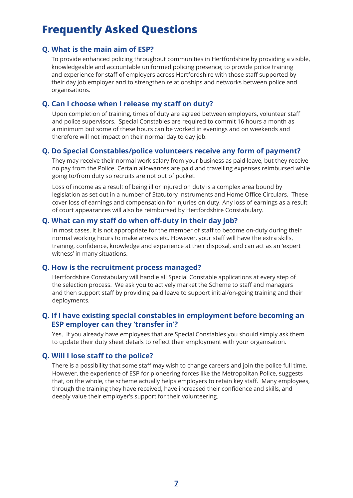## **Frequently Asked Questions**

#### **Q. What is the main aim of ESP?**

To provide enhanced policing throughout communities in Hertfordshire by providing a visible, knowledgeable and accountable uniformed policing presence; to provide police training and experience for staff of employers across Hertfordshire with those staff supported by their day job employer and to strengthen relationships and networks between police and organisations.

#### **Q. Can I choose when I release my staff on duty?**

Upon completion of training, times of duty are agreed between employers, volunteer staff and police supervisors. Special Constables are required to commit 16 hours a month as a minimum but some of these hours can be worked in evenings and on weekends and therefore will not impact on their normal day to day job.

#### **Q. Do Special Constables/police volunteers receive any form of payment?**

They may receive their normal work salary from your business as paid leave, but they receive no pay from the Police. Certain allowances are paid and travelling expenses reimbursed while going to/from duty so recruits are not out of pocket.

Loss of income as a result of being ill or injured on duty is a complex area bound by legislation as set out in a number of Statutory Instruments and Home Office Circulars. These cover loss of earnings and compensation for injuries on duty. Any loss of earnings as a result of court appearances will also be reimbursed by Hertfordshire Constabulary.

#### **Q. What can my staff do when off-duty in their day job?**

In most cases, it is not appropriate for the member of staff to become on-duty during their normal working hours to make arrests etc. However, your staff will have the extra skills, training, confidence, knowledge and experience at their disposal, and can act as an 'expert witness' in many situations.

#### **Q. How is the recruitment process managed?**

Hertfordshire Constabulary will handle all Special Constable applications at every step of the selection process. We ask you to actively market the Scheme to staff and managers and then support staff by providing paid leave to support initial/on-going training and their deployments.

#### **Q. If I have existing special constables in employment before becoming an ESP employer can they 'transfer in'?**

Yes. If you already have employees that are Special Constables you should simply ask them to update their duty sheet details to reflect their employment with your organisation.

#### **Q. Will I lose staff to the police?**

There is a possibility that some staff may wish to change careers and join the police full time. However, the experience of ESP for pioneering forces like the Metropolitan Police, suggests that, on the whole, the scheme actually helps employers to retain key staff. Many employees, through the training they have received, have increased their confidence and skills, and deeply value their employer's support for their volunteering.